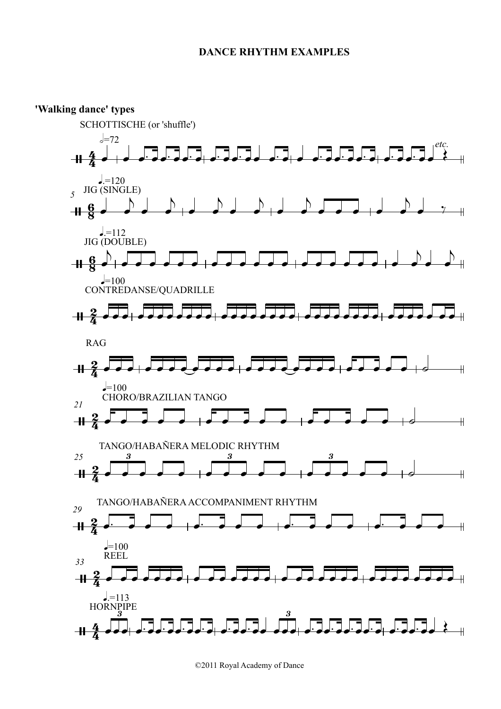## **DANCE RHYTHM EXAMPLES**



©2011 Royal Academy of Dance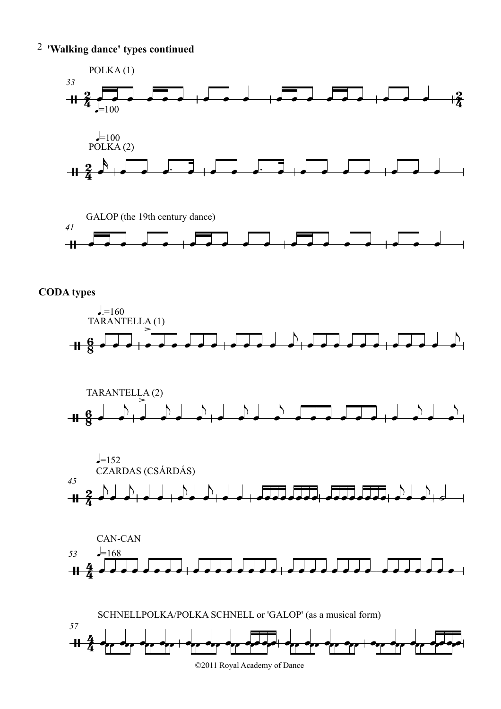**'Walking dance' types continued** 2



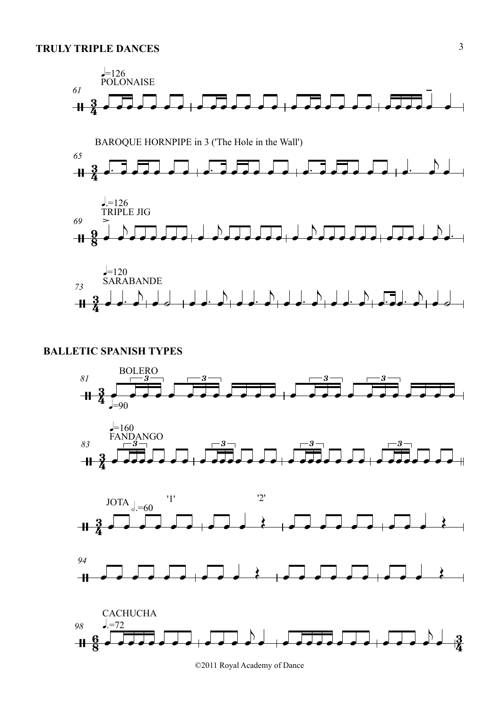

## **BALLETIC SPANISH TYPES**



©2011 Royal Academy of Dance